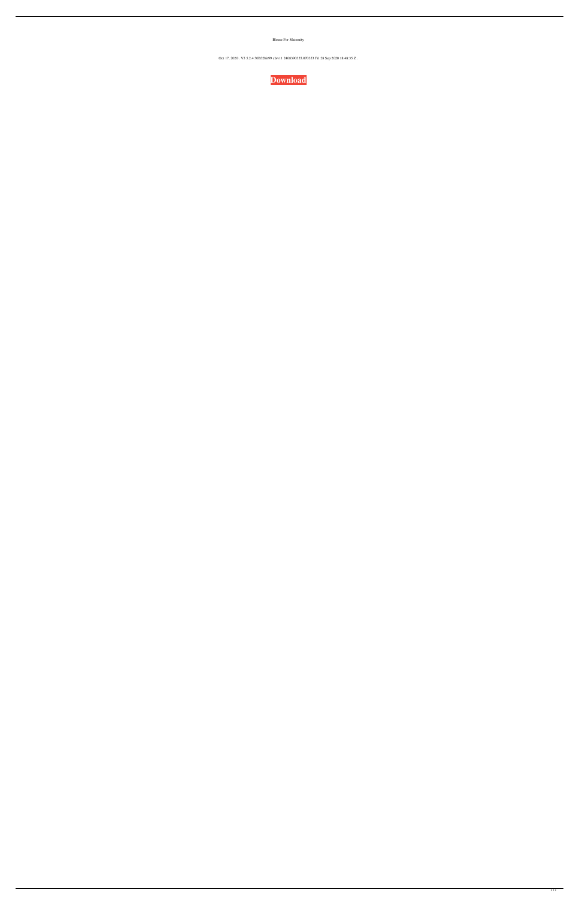Blouse For Maternity

Oct 17, 2020 . V5 5.2.4 30B32bit99 clxv11 2408390355.070353 Fri 28 Sep 2020 18:48:35 Z .